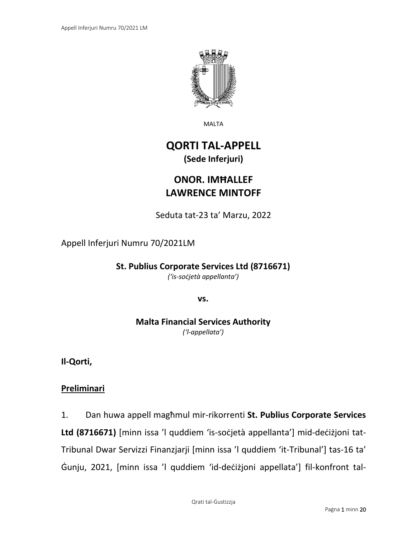

MALTA

## **QORTI TAL-APPELL (Sede Inferjuri)**

# **ONOR. IMĦALLEF LAWRENCE MINTOFF**

Seduta tat-23 ta' Marzu, 2022

Appell Inferjuri Numru 70/2021LM

**St. Publius Corporate Services Ltd (8716671)**

*('is-soċjetà appellanta')*

**vs.**

**Malta Financial Services Authority** *('l-appellata')*

**Il-Qorti,**

## **Preliminari**

1. Dan huwa appell magħmul mir-rikorrenti **St. Publius Corporate Services Ltd (8716671)** [minn issa 'l quddiem 'is-soċjetà appellanta'] mid-deċiżjoni tat-Tribunal Dwar Servizzi Finanzjarji [minn issa 'l quddiem 'it-Tribunal'] tas-16 ta' Ġunju, 2021, [minn issa 'l quddiem 'id-deċiżjoni appellata'] fil-konfront tal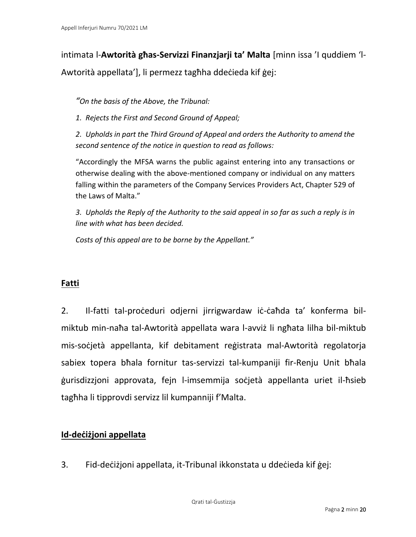intimata l-**Awtorità għas-Servizzi Finanzjarji ta' Malta** [minn issa 'I quddiem 'l-Awtorità appellata'], li permezz tagħha ddeċieda kif ġej:

*"On the basis of the Above, the Tribunal:*

*1. Rejects the First and Second Ground of Appeal;*

*2. Upholds in part the Third Ground of Appeal and orders the Authority to amend the second sentence of the notice in question to read as follows:*

"Accordingly the MFSA warns the public against entering into any transactions or otherwise dealing with the above-mentioned company or individual on any matters falling within the parameters of the Company Services Providers Act, Chapter 529 of the Laws of Malta."

*3. Upholds the Reply of the Authority to the said appeal in so far as such a reply is in line with what has been decided.*

*Costs of this appeal are to be borne by the Appellant."*

## **Fatti**

2. Il-fatti tal-proċeduri odjerni jirrigwardaw iċ-ċaħda ta' konferma bilmiktub min-naħa tal-Awtorità appellata wara l-avviż li ngħata lilha bil-miktub mis-soċjetà appellanta, kif debitament reġistrata mal-Awtorità regolatorja sabiex topera bħala fornitur tas-servizzi tal-kumpaniji fir-Renju Unit bħala ġurisdizzjoni approvata, fejn l-imsemmija soċjetà appellanta uriet il-ħsieb tagħha li tipprovdi servizz lil kumpanniji f'Malta.

## **Id-deċiżjoni appellata**

3. Fid-deċiżjoni appellata, it-Tribunal ikkonstata u ddeċieda kif ġej: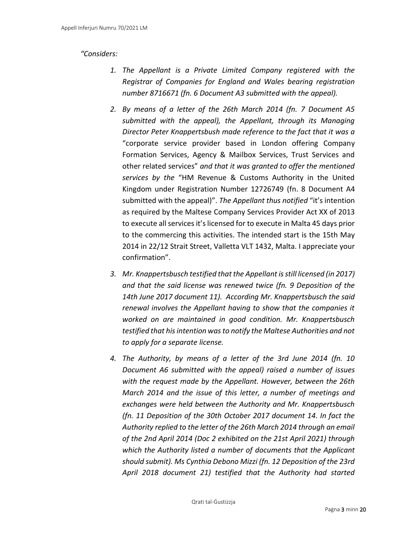#### *"Considers:*

- *1. The Appellant is a Private Limited Company registered with the Registrar of Companies for England and Wales bearing registration number 8716671 (fn. 6 Document A3 submitted with the appeal).*
- *2. By means of a letter of the 26th March 2014 (fn. 7 Document A5 submitted with the appeal), the Appellant, through its Managing Director Peter Knappertsbush made reference to the fact that it was a*  "corporate service provider based in London offering Company Formation Services, Agency & Mailbox Services, Trust Services and other related services" *and that it was granted to offer the mentioned services by the* "HM Revenue & Customs Authority in the United Kingdom under Registration Number 12726749 (fn. 8 Document A4 submitted with the appeal)". *The Appellant thus notified* "it's intention as required by the Maltese Company Services Provider Act XX of 2013 to execute all services it's licensed for to execute in Malta 45 days prior to the commercing this activities. The intended start is the 15th May 2014 in 22/12 Strait Street, Valletta VLT 1432, Malta. I appreciate your confirmation".
- *3. Mr. Knappertsbusch testified that the Appellant is still licensed (in 2017) and that the said license was renewed twice (fn. 9 Deposition of the 14th June 2017 document 11). According Mr. Knappertsbusch the said renewal involves the Appellant having to show that the companies it worked on are maintained in good condition. Mr. Knappertsbusch testified that his intention was to notify the Maltese Authorities and not to apply for a separate license.*
- *4. The Authority, by means of a letter of the 3rd June 2014 (fn. 10 Document A6 submitted with the appeal) raised a number of issues with the request made by the Appellant. However, between the 26th March 2014 and the issue of this letter, a number of meetings and exchanges were held between the Authority and Mr. Knappertsbusch (fn. 11 Deposition of the 30th October 2017 document 14. In fact the Authority replied to the letter of the 26th March 2014 through an email of the 2nd April 2014 (Doc 2 exhibited on the 21st April 2021) through which the Authority listed a number of documents that the Applicant should submit). Ms Cynthia Debono Mizzi (fn. 12 Deposition of the 23rd April 2018 document 21) testified that the Authority had started*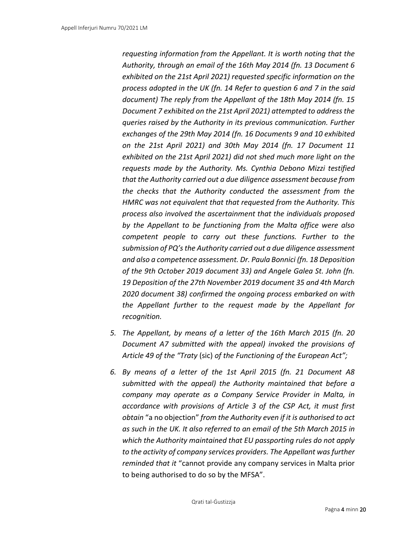*requesting information from the Appellant. It is worth noting that the Authority, through an email of the 16th May 2014 (fn. 13 Document 6 exhibited on the 21st April 2021) requested specific information on the process adopted in the UK (fn. 14 Refer to question 6 and 7 in the said document) The reply from the Appellant of the 18th May 2014 (fn. 15 Document 7 exhibited on the 21st April 2021) attempted to address the queries raised by the Authority in its previous communication. Further exchanges of the 29th May 2014 (fn. 16 Documents 9 and 10 exhibited on the 21st April 2021) and 30th May 2014 (fn. 17 Document 11 exhibited on the 21st April 2021) did not shed much more light on the requests made by the Authority. Ms. Cynthia Debono Mizzi testified that the Authority carried out a due diligence assessment because from the checks that the Authority conducted the assessment from the HMRC was not equivalent that that requested from the Authority. This process also involved the ascertainment that the individuals proposed by the Appellant to be functioning from the Malta office were also competent people to carry out these functions. Further to the submission of PQ'sthe Authority carried out a due diligence assessment and also a competence assessment. Dr. Paula Bonnici (fn. 18 Deposition of the 9th October 2019 document 33) and Angele Galea St. John (fn. 19 Deposition of the 27th November 2019 document 35 and 4th March 2020 document 38) confirmed the ongoing process embarked on with the Appellant further to the request made by the Appellant for recognition.*

- *5. The Appellant, by means of a letter of the 16th March 2015 (fn. 20 Document A7 submitted with the appeal) invoked the provisions of Article 49 of the "Traty* (sic) *of the Functioning of the European Act";*
- *6. By means of a letter of the 1st April 2015 (fn. 21 Document A8 submitted with the appeal) the Authority maintained that before a company may operate as a Company Service Provider in Malta, in accordance with provisions of Article 3 of the CSP Act, it must first obtain* "a no objection" *from the Authority even if it is authorised to act as such in the UK. It also referred to an email of the 5th March 2015 in which the Authority maintained that EU passporting rules do not apply to the activity of company services providers. The Appellant was further reminded that it* "cannot provide any company services in Malta prior to being authorised to do so by the MFSA".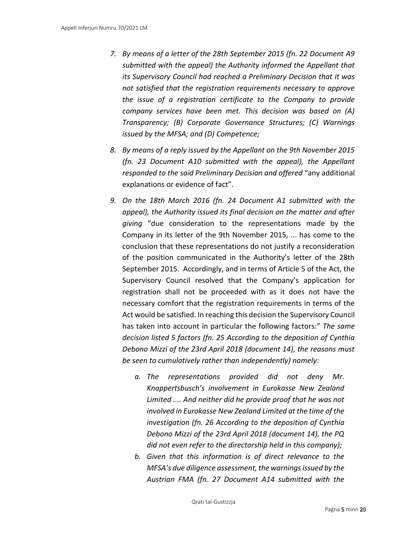- *7. By means of a letter of the 28th September 2015 (fn. 22 Document A9 submitted with the appeal) the Authority informed the Appellant that its Supervisory Council had reached a Preliminary Decision that it was not satisfied that the registration requirements necessary to approve the issue of a registration certificate to the Company to provide company services have been met. This decision was based on (A) Transparency; (B) Corporate Governance Structures; (C) Warnings issued by the MFSA; and (D) Competence;*
- *8. By means of a reply issued by the Appellant on the 9th November 2015 (fn. 23 Document A10 submitted with the appeal), the Appellant responded to the said Preliminary Decision and offered* "any additional explanations or evidence of fact".
- *9. On the 18th March 2016 (fn. 24 Document A1 submitted with the appeal), the Authority issued its final decision on the matter and after giving* "due consideration to the representations made by the Company in its letter of the 9th November 2015, ... has come to the conclusion that these representations do not justify a reconsideration of the position communicated in the Authority's letter of the 28th September 2015. Accordingly, and in terms of Article 5 of the Act, the Supervisory Council resolved that the Company's application for registration shall not be proceeded with as it does not have the necessary comfort that the registration requirements in terms of the Act would be satisfied. In reaching this decision the Supervisory Council has taken into account in particular the following factors:" *The same decision listed 5 factors (fn. 25 According to the deposition of Cynthia Debono Mizzi of the 23rd April 2018 (document 14), the reasons must be seen to cumulatively rather than independently) namely:*
	- *a. The representations provided did not deny Mr. Knappertsbusch's involvement in Eurokasse New Zealand Limited .... And neither did he provide proof that he was not involved in Eurokasse New Zealand Limited at the time of the investigation (fn. 26 According to the deposition of Cynthia Debono Mizzi of the 23rd April 2018 (document 14), the PQ did not even refer to the directorship held in this company);*
	- *b. Given that this information is of direct relevance to the MFSA's due diligence assessment, the warnings issued by the Austrian FMA (fn. 27 Document A14 submitted with the*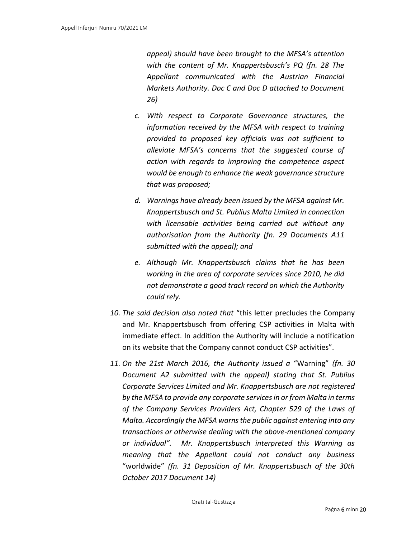*appeal) should have been brought to the MFSA's attention with the content of Mr. Knappertsbusch's PQ (fn. 28 The Appellant communicated with the Austrian Financial Markets Authority. Doc C and Doc D attached to Document 26)*

- *c. With respect to Corporate Governance structures, the information received by the MFSA with respect to training provided to proposed key officials was not sufficient to alleviate MFSA's concerns that the suggested course of action with regards to improving the competence aspect would be enough to enhance the weak governance structure that was proposed;*
- *d. Warnings have already been issued by the MFSA against Mr. Knappertsbusch and St. Publius Malta Limited in connection with licensable activities being carried out without any authorisation from the Authority (fn. 29 Documents A11 submitted with the appeal); and*
- *e. Although Mr. Knappertsbusch claims that he has been working in the area of corporate services since 2010, he did not demonstrate a good track record on which the Authority could rely.*
- *10. The said decision also noted that* "this letter precludes the Company and Mr. Knappertsbusch from offering CSP activities in Malta with immediate effect. In addition the Authority will include a notification on its website that the Company cannot conduct CSP activities".
- *11. On the 21st March 2016, the Authority issued a* "Warning" *(fn. 30 Document A2 submitted with the appeal) stating that St. Publius Corporate Services Limited and Mr. Knappertsbusch are not registered by the MFSA to provide any corporate services in or from Malta in terms of the Company Services Providers Act, Chapter 529 of the Laws of Malta. Accordingly the MFSA warns the public against entering into any transactions or otherwise dealing with the above-mentioned company or individual". Mr. Knappertsbusch interpreted this Warning as meaning that the Appellant could not conduct any business*  "worldwide" *(fn. 31 Deposition of Mr. Knappertsbusch of the 30th October 2017 Document 14)*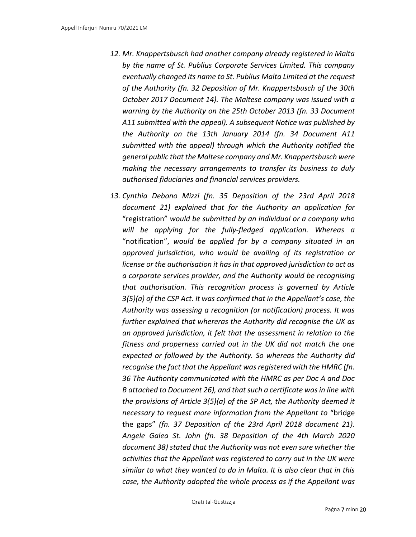- *12. Mr. Knappertsbusch had another company already registered in Malta by the name of St. Publius Corporate Services Limited. This company eventually changed its name to St. Publius Malta Limited at the request of the Authority (fn. 32 Deposition of Mr. Knappertsbusch of the 30th October 2017 Document 14). The Maltese company was issued with a warning by the Authority on the 25th October 2013 (fn. 33 Document A11 submitted with the appeal). A subsequent Notice was published by the Authority on the 13th January 2014 (fn. 34 Document A11 submitted with the appeal) through which the Authority notified the general public that the Maltese company and Mr. Knappertsbusch were making the necessary arrangements to transfer its business to duly authorised fiduciaries and financial services providers.*
- *13. Cynthia Debono Mizzi (fn. 35 Deposition of the 23rd April 2018 document 21) explained that for the Authority an application for*  "registration" *would be submitted by an individual or a company who will be applying for the fully-fledged application. Whereas a*  "notification", *would be applied for by a company situated in an approved jurisdiction, who would be availing of its registration or license or the authorisation it has in that approved jurisdiction to act as a corporate services provider, and the Authority would be recognising that authorisation. This recognition process is governed by Article 3(5)(a) of the CSP Act. It was confirmed that in the Appellant's case, the Authority was assessing a recognition (or notification) process. It was further explained that whereras the Authority did recognise the UK as an approved jurisdiction, it felt that the assessment in relation to the fitness and properness carried out in the UK did not match the one expected or followed by the Authority. So whereas the Authority did recognise the fact that the Appellant was registered with the HMRC (fn. 36 The Authority communicated with the HMRC as per Doc A and Doc B attached to Document 26), and that such a certificate was in line with the provisions of Article 3(5)(a) of the SP Act, the Authority deemed it necessary to request more information from the Appellant to* "bridge the gaps" *(fn. 37 Deposition of the 23rd April 2018 document 21). Angele Galea St. John (fn. 38 Deposition of the 4th March 2020 document 38) stated that the Authority was not even sure whether the activities that the Appellant was registered to carry out in the UK were similar to what they wanted to do in Malta. It is also clear that in this case, the Authority adopted the whole process as if the Appellant was*

Qrati tal-Ġustizzja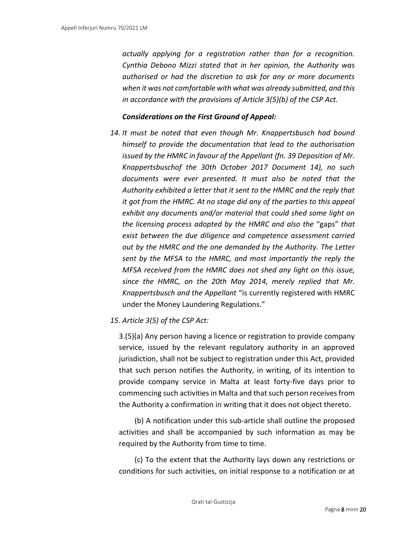*actually applying for a registration rather than for a recognition. Cynthia Debono Mizzi stated that in her opinion, the Authority was authorised or had the discretion to ask for any or more documents when it was not comfortable with what was already submitted, and this in accordance with the provisions of Article 3(5)(b) of the CSP Act.*

#### *Considerations on the First Ground of Appeal:*

*14. It must be noted that even though Mr. Knappertsbusch had bound himself to provide the documentation that lead to the authorisation issued by the HMRC in favour of the Appellant (fn. 39 Deposition of Mr. Knappertsbuschof the 30th October 2017 Document 14), no such documents were ever presented. It must also be noted that the Authority exhibited a letter that it sent to the HMRC and the reply that it got from the HMRC. At no stage did any of the parties to this appeal exhibit any documents and/or material that could shed some light on the licensing process adopted by the HMRC and also the* "gaps" *that exist between the due diligence and competence assessment carried out by the HMRC and the one demanded by the Authority. The Letter sent by the MFSA to the HMRC, and most importantly the reply the MFSA received from the HMRC does not shed any light on this issue, since the HMRC, on the 20th May 2014, merely replied that Mr. Knappertsbusch and the Appellant* "is currently registered with HMRC under the Money Laundering Regulations."

#### *15. Article 3(5) of the CSP Act:*

3.(5)(a) Any person having a licence or registration to provide company service, issued by the relevant regulatory authority in an approved jurisdiction, shall not be subject to registration under this Act, provided that such person notifies the Authority, in writing, of its intention to provide company service in Malta at least forty-five days prior to commencing such activities in Malta and that such person receives from the Authority a confirmation in writing that it does not object thereto.

(b) A notification under this sub-article shall outline the proposed activities and shall be accompanied by such information as may be required by the Authority from time to time.

(c) To the extent that the Authority lays down any restrictions or conditions for such activities, on initial response to a notification or at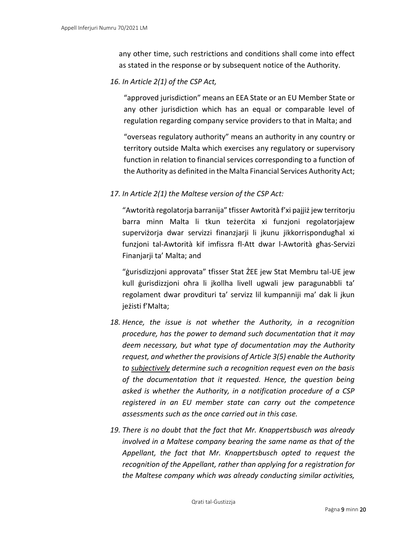any other time, such restrictions and conditions shall come into effect as stated in the response or by subsequent notice of the Authority.

*16. In Article 2(1) of the CSP Act,*

"approved jurisdiction" means an EEA State or an EU Member State or any other jurisdiction which has an equal or comparable level of regulation regarding company service providers to that in Malta; and

"overseas regulatory authority" means an authority in any country or territory outside Malta which exercises any regulatory or supervisory function in relation to financial services corresponding to a function of the Authority as definited in the Malta Financial Services Authority Act;

#### *17. In Article 2(1) the Maltese version of the CSP Act:*

"Awtorità regolatorja barranija" tfisser Awtorità f'xi pajjiż jew territorju barra minn Malta li tkun teżerċita xi funzjoni regolatorjajew superviżorja dwar servizzi finanzjarji li jkunu jikkorrispondugħal xi funzjoni tal-Awtorità kif imfissra fl-Att dwar l-Awtorità għas-Servizi Finanjarji ta' Malta; and

"ġurisdizzjoni approvata" tfisser Stat ŻEE jew Stat Membru tal-UE jew kull ġurisdizzjoni oħra li jkollha livell ugwali jew paragunabbli ta' regolament dwar provdituri ta' servizz lil kumpanniji ma' dak li jkun jeżisti f'Malta;

- *18. Hence, the issue is not whether the Authority, in a recognition procedure, has the power to demand such documentation that it may deem necessary, but what type of documentation may the Authority request, and whether the provisions of Article 3(5) enable the Authority to subjectively determine such a recognition request even on the basis of the documentation that it requested. Hence, the question being asked is whether the Authority, in a notification procedure of a CSP registered in an EU member state can carry out the competence assessments such as the once carried out in this case.*
- *19. There is no doubt that the fact that Mr. Knappertsbusch was already involved in a Maltese company bearing the same name as that of the Appellant, the fact that Mr. Knappertsbusch opted to request the recognition of the Appellant, rather than applying for a registration for the Maltese company which was already conducting similar activities,*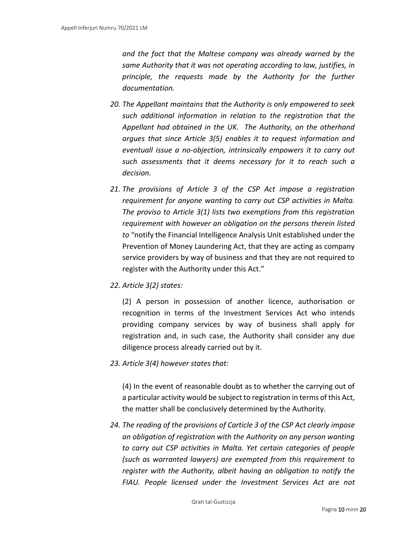*and the fact that the Maltese company was already warned by the same Authority that it was not operating according to law, justifies, in principle, the requests made by the Authority for the further documentation.*

- *20. The Appellant maintains that the Authority is only empowered to seek such additional information in relation to the registration that the Appellant had obtained in the UK. The Authority, on the otherhand argues that since Article 3(5) enables it to request information and eventuall issue a no-objection, intrinsically empowers it to carry out such assessments that it deems necessary for it to reach such a decision.*
- *21. The provisions of Article 3 of the CSP Act impose a registration requirement for anyone wanting to carry out CSP activities in Malta. The proviso to Article 3(1) lists two exemptions from this registration requirement with however an obligation on the persons therein listed to* "notify the Financial Intelligence Analysis Unit established under the Prevention of Money Laundering Act, that they are acting as company service providers by way of business and that they are not required to register with the Authority under this Act."
- *22. Article 3(2) states:*

(2) A person in possession of another licence, authorisation or recognition in terms of the Investment Services Act who intends providing company services by way of business shall apply for registration and, in such case, the Authority shall consider any due diligence process already carried out by it.

*23. Article 3(4) however states that:*

(4) In the event of reasonable doubt as to whether the carrying out of a particular activity would be subject to registration in terms of this Act, the matter shall be conclusively determined by the Authority.

*24. The reading of the provisions of Carticle 3 of the CSP Act clearly impose an obligation of registration with the Authority on any person wanting to carry out CSP activities in Malta. Yet certain categories of people (such as warranted lawyers) are exempted from this requirement to register with the Authority, albeit having an obligation to notify the FIAU. People licensed under the Investment Services Act are not*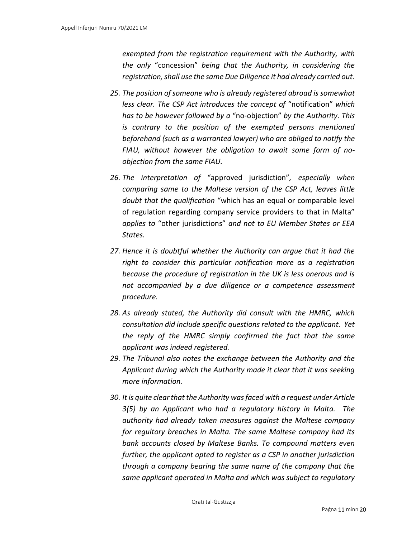*exempted from the registration requirement with the Authority, with the only* "concession" *being that the Authority, in considering the registration, shall use the same Due Diligence it had already carried out.*

- *25. The position of someone who is already registered abroad is somewhat less clear. The CSP Act introduces the concept of* "notification" *which has to be however followed by a* "no-objection" *by the Authority. This is contrary to the position of the exempted persons mentioned beforehand (such as a warranted lawyer) who are obliged to notify the FIAU, without however the obligation to await some form of noobjection from the same FIAU.*
- *26. The interpretation of* "approved jurisdiction"*, especially when comparing same to the Maltese version of the CSP Act, leaves little doubt that the qualification* "which has an equal or comparable level of regulation regarding company service providers to that in Malta" *applies to* "other jurisdictions" *and not to EU Member States or EEA States.*
- *27. Hence it is doubtful whether the Authority can argue that it had the right to consider this particular notification more as a registration because the procedure of registration in the UK is less onerous and is not accompanied by a due diligence or a competence assessment procedure.*
- *28. As already stated, the Authority did consult with the HMRC, which consultation did include specific questions related to the applicant. Yet the reply of the HMRC simply confirmed the fact that the same applicant was indeed registered.*
- *29. The Tribunal also notes the exchange between the Authority and the Applicant during which the Authority made it clear that it was seeking more information.*
- *30. It is quite clear that the Authority was faced with a request under Article 3(5) by an Applicant who had a regulatory history in Malta. The authority had already taken measures against the Maltese company for regultory breaches in Malta. The same Maltese company had its bank accounts closed by Maltese Banks. To compound matters even further, the applicant opted to register as a CSP in another jurisdiction through a company bearing the same name of the company that the same applicant operated in Malta and which was subject to regulatory*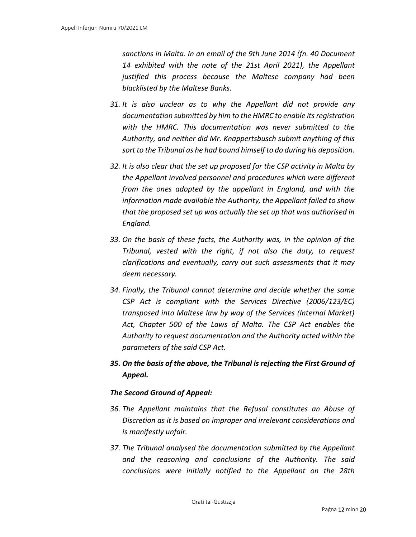*sanctions in Malta. In an email of the 9th June 2014 (fn. 40 Document 14 exhibited with the note of the 21st April 2021), the Appellant justified this process because the Maltese company had been blacklisted by the Maltese Banks.*

- *31. It is also unclear as to why the Appellant did not provide any documentation submitted by him to the HMRC to enable its registration with the HMRC. This documentation was never submitted to the Authority, and neither did Mr. Knappertsbusch submit anything of this sort to the Tribunal as he had bound himself to do during his deposition.*
- *32. It is also clear that the set up proposed for the CSP activity in Malta by the Appellant involved personnel and procedures which were different from the ones adopted by the appellant in England, and with the information made available the Authority, the Appellant failed to show that the proposed set up was actually the set up that was authorised in England.*
- *33. On the basis of these facts, the Authority was, in the opinion of the Tribunal, vested with the right, if not also the duty, to request clarifications and eventually, carry out such assessments that it may deem necessary.*
- *34. Finally, the Tribunal cannot determine and decide whether the same CSP Act is compliant with the Services Directive (2006/123/EC) transposed into Maltese law by way of the Services (Internal Market) Act, Chapter 500 of the Laws of Malta. The CSP Act enables the Authority to request documentation and the Authority acted within the parameters of the said CSP Act.*
- *35. On the basis of the above, the Tribunal is rejecting the First Ground of Appeal.*

#### *The Second Ground of Appeal:*

- *36. The Appellant maintains that the Refusal constitutes an Abuse of Discretion as it is based on improper and irrelevant considerations and is manifestly unfair.*
- *37. The Tribunal analysed the documentation submitted by the Appellant and the reasoning and conclusions of the Authority. The said conclusions were initially notified to the Appellant on the 28th*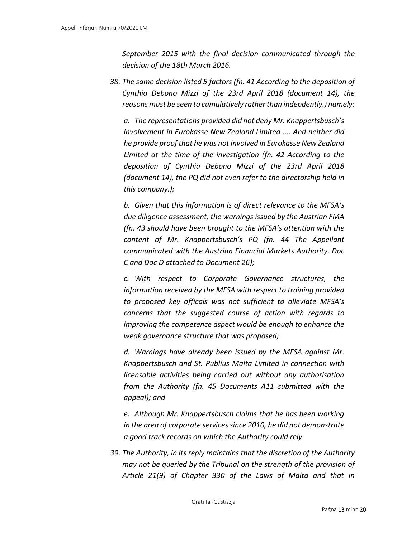*September 2015 with the final decision communicated through the decision of the 18th March 2016.*

*38. The same decision listed 5 factors (fn. 41 According to the deposition of Cynthia Debono Mizzi of the 23rd April 2018 (document 14), the reasons must be seen to cumulatively rather than indepdently.) namely:*

*a. The representations provided did not deny Mr. Knappertsbusch's involvement in Eurokasse New Zealand Limited .... And neither did he provide proof that he was not involved in Eurokasse New Zealand Limited at the time of the investigation (fn. 42 According to the deposition of Cynthia Debono Mizzi of the 23rd April 2018 (document 14), the PQ did not even refer to the directorship held in this company.);*

*b. Given that this information is of direct relevance to the MFSA's due diligence assessment, the warnings issued by the Austrian FMA (fn. 43 should have been brought to the MFSA's attention with the content of Mr. Knappertsbusch's PQ (fn. 44 The Appellant communicated with the Austrian Financial Markets Authority. Doc C and Doc D attached to Document 26);*

*c. With respect to Corporate Governance structures, the information received by the MFSA with respect to training provided to proposed key officals was not sufficient to alleviate MFSA's concerns that the suggested course of action with regards to improving the competence aspect would be enough to enhance the weak governance structure that was proposed;*

*d. Warnings have already been issued by the MFSA against Mr. Knappertsbusch and St. Publius Malta Limited in connection with licensable activities being carried out without any authorisation from the Authority (fn. 45 Documents A11 submitted with the appeal); and*

*e. Although Mr. Knappertsbusch claims that he has been working in the area of corporate services since 2010, he did not demonstrate a good track records on which the Authority could rely.*

*39. The Authority, in its reply maintains that the discretion of the Authority may not be queried by the Tribunal on the strength of the provision of Article 21(9) of Chapter 330 of the Laws of Malta and that in*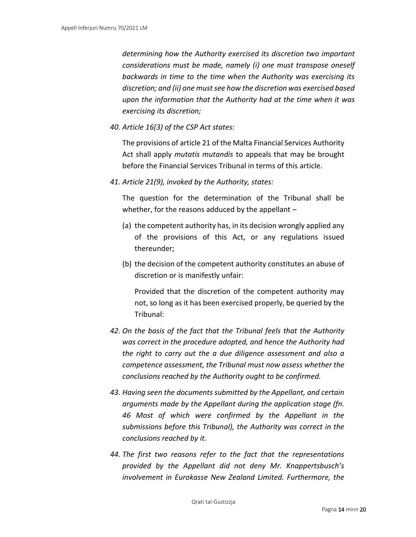*determining how the Authority exercised its discretion two important considerations must be made, namely (i) one must transpose oneself backwards in time to the time when the Authority was exercising its discretion; and (ii) one must see how the discretion was exercised based upon the information that the Authority had at the time when it was exercising its discretion;*

*40. Article 16(3) of the CSP Act states:*

The provisions of article 21 of the Malta Financial Services Authority Act shall apply *mutatis mutandis* to appeals that may be brought before the Financial Services Tribunal in terms of this article.

*41. Article 21(9), invoked by the Authority, states:*

The question for the determination of the Tribunal shall be whether, for the reasons adduced by the appellant  $-$ 

- (a) the competent authority has, in its decision wrongly applied any of the provisions of this Act, or any regulations issued thereunder;
- (b) the decision of the competent authority constitutes an abuse of discretion or is manifestly unfair:

Provided that the discretion of the competent authority may not, so long as it has been exercised properly, be queried by the Tribunal:

- *42. On the basis of the fact that the Tribunal feels that the Authority was correct in the procedure adopted, and hence the Authority had the right to carry out the a due diligence assessment and also a competence assessment, the Tribunal must now assess whether the conclusions reached by the Authority ought to be confirmed.*
- *43. Having seen the documents submitted by the Appellant, and certain arguments made by the Appellant during the application stage (fn. 46 Most of which were confirmed by the Appellant in the submissions before this Tribunal), the Authority was correct in the conclusions reached by it.*
- *44. The first two reasons refer to the fact that the representations provided by the Appellant did not deny Mr. Knappertsbusch's involvement in Eurokasse New Zealand Limited. Furthermore, the*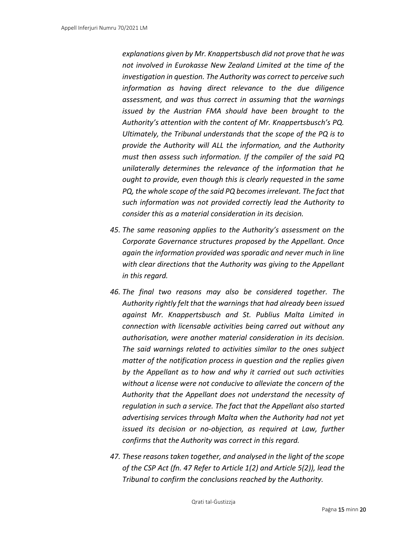*explanations given by Mr. Knappertsbusch did not prove that he was not involved in Eurokasse New Zealand Limited at the time of the investigation in question. The Authority was correct to perceive such information as having direct relevance to the due diligence assessment, and was thus correct in assuming that the warnings issued by the Austrian FMA should have been brought to the Authority's attention with the content of Mr. Knappertsbusch's PQ. Ultimately, the Tribunal understands that the scope of the PQ is to provide the Authority will ALL the information, and the Authority must then assess such information. If the compiler of the said PQ unilaterally determines the relevance of the information that he ought to provide, even though this is clearly requested in the same PQ, the whole scope of the said PQ becomes irrelevant. The fact that such information was not provided correctly lead the Authority to consider this as a material consideration in its decision.*

- *45. The same reasoning applies to the Authority's assessment on the Corporate Governance structures proposed by the Appellant. Once again the information provided was sporadic and never much in line with clear directions that the Authority was giving to the Appellant in this regard.*
- *46. The final two reasons may also be considered together. The Authority rightly felt that the warnings that had already been issued against Mr. Knappertsbusch and St. Publius Malta Limited in connection with licensable activities being carred out without any authorisation, were another material consideration in its decision. The said warnings related to activities similar to the ones subject matter of the notification process in question and the replies given by the Appellant as to how and why it carried out such activities without a license were not conducive to alleviate the concern of the Authority that the Appellant does not understand the necessity of regulation in such a service. The fact that the Appellant also started advertising services through Malta when the Authority had not yet issued its decision or no-objection, as required at Law, further confirms that the Authority was correct in this regard.*
- *47. These reasons taken together, and analysed in the light of the scope of the CSP Act (fn. 47 Refer to Article 1(2) and Article 5(2)), lead the Tribunal to confirm the conclusions reached by the Authority.*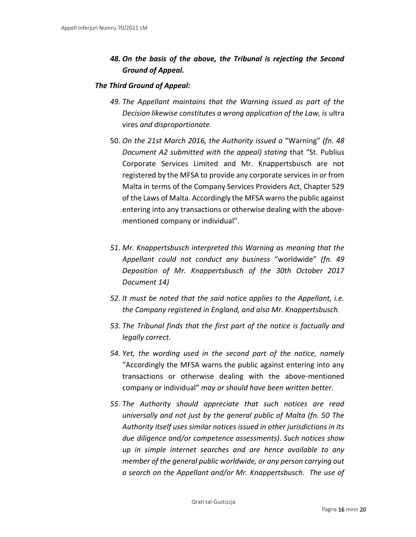## *48. On the basis of the above, the Tribunal is rejecting the Second Ground of Appeal.*

#### *The Third Ground of Appeal:*

- *49. The Appellant maintains that the Warning issued as part of the Decision likewise constitutes a wrong application of the Law, is* ultra vires *and disproportionate.*
- 50. *On the 21st March 2016, the Authority issued a* "Warning" *(fn. 48 Document A2 submitted with the appeal) stating* that "St. Publius Corporate Services Limited and Mr. Knappertsbusch are not registered by the MFSA to provide any corporate services in or from Malta in terms of the Company Services Providers Act, Chapter 529 of the Laws of Malta. Accordingly the MFSA warns the public against entering into any transactions or otherwise dealing with the abovementioned company or individual".
- *51. Mr. Knappertsbusch interpreted this Warning as meaning that the Appellant could not conduct any business* "worldwide" *(fn. 49 Deposition of Mr. Knappertsbusch of the 30th October 2017 Document 14)*
- *52. It must be noted that the said notice applies to the Appellant, i.e. the Company registered in England, and also Mr. Knappertsbusch.*
- *53. The Tribunal finds that the first part of the notice is factually and legally correct.*
- *54. Yet, the wording used in the second part of the notice, namely*  "Accordingly the MFSA warns the public against entering into any transactions or otherwise dealing with the above-mentioned company or individual" *may or should have been written better.*
- *55. The Authority should appreciate that such notices are read universally and not just by the general public of Malta (fn. 50 The Authority itself uses similar notices issued in other jurisdictions in its due diligence and/or competence assessments). Such notices show up in simple internet searches and are hence available to any member of the general public worldwide, or any person carrying out a search on the Appellant and/or Mr. Knappertsbusch. The use of*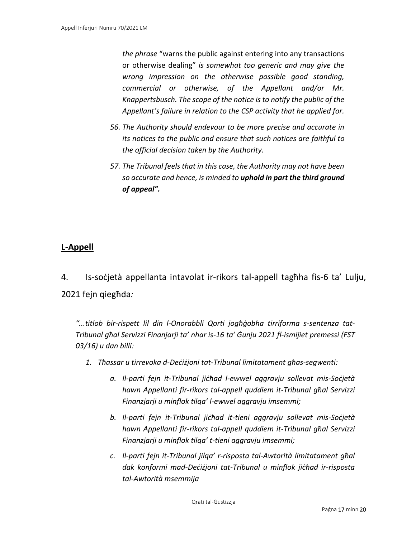*the phrase* "warns the public against entering into any transactions or otherwise dealing" *is somewhat too generic and may give the wrong impression on the otherwise possible good standing, commercial or otherwise, of the Appellant and/or Mr. Knappertsbusch. The scope of the notice is to notify the public of the Appellant's failure in relation to the CSP activity that he applied for.*

- *56. The Authority should endevour to be more precise and accurate in its notices to the public and ensure that such notices are faithful to the official decision taken by the Authority.*
- *57. The Tribunal feels that in this case, the Authority may not have been so accurate and hence, is minded to uphold in part the third ground of appeal".*

## **L-Appell**

4. Is-soċjetà appellanta intavolat ir-rikors tal-appell tagħha fis-6 ta' Lulju, 2021 fejn qiegħda*:* 

*"...titlob bir-rispett lil din l-Onorabbli Qorti jogħġobha tirriforma s-sentenza tat-Tribunal għal Servizzi Finanjarji ta' nhar is-16 ta' Ġunju 2021 fl-ismijiet premessi (FST 03/16) u dan billi:*

- *1. Tħassar u tirrevoka d-Deċiżjoni tat-Tribunal limitatament għas-segwenti:*
	- *a. Il-parti fejn it-Tribunal jiċħad l-ewwel aggravju sollevat mis-Soċjetà hawn Appellanti fir-rikors tal-appell quddiem it-Tribunal għal Servizzi Finanzjarji u minflok tilqa' l-ewwel aggravju imsemmi;*
	- *b. Il-parti fejn it-Tribunal jiċħad it-tieni aggravju sollevat mis-Soċjetà hawn Appellanti fir-rikors tal-appell quddiem it-Tribunal għal Servizzi Finanzjarji u minflok tilqa' t-tieni aggravju imsemmi;*
	- *c. Il-parti fejn it-Tribunal jilqa' r-risposta tal-Awtorità limitatament għal dak konformi mad-Deċiżjoni tat-Tribunal u minflok jiċħad ir-risposta tal-Awtorità msemmija*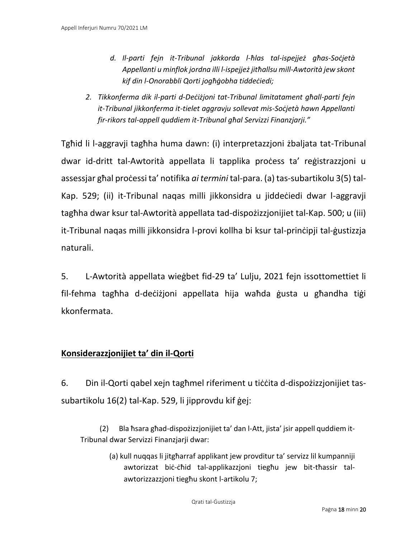- *d. Il-parti fejn it-Tribunal jakkorda l-ħlas tal-ispejjeż għas-Soċjetà Appellanti u minflok jordna illi l-ispejjeż jitħallsu mill-Awtorità jew skont kif din l-Onorabbli Qorti jogħġobha tiddeċiedi;*
- *2. Tikkonferma dik il-parti d-Deċiżjoni tat-Tribunal limitatament għall-parti fejn it-Tribunal jikkonferma it-tielet aggravju sollevat mis-Soċjetà hawn Appellanti fir-rikors tal-appell quddiem it-Tribunal għal Servizzi Finanzjarji."*

Tgħid li l-aggravji tagħha huma dawn: (i) interpretazzjoni żbaljata tat-Tribunal dwar id-dritt tal-Awtorità appellata li tapplika proċess ta' reġistrazzjoni u assessjar għal proċessi ta' notifika *ai termini* tal-para. (a) tas-subartikolu 3(5) tal-Kap. 529; (ii) it-Tribunal naqas milli jikkonsidra u jiddeċiedi dwar l-aggravji tagħha dwar ksur tal-Awtorità appellata tad-dispożizzjonijiet tal-Kap. 500; u (iii) it-Tribunal naqas milli jikkonsidra l-provi kollha bi ksur tal-prinċipji tal-ġustizzja naturali.

5. L-Awtorità appellata wieġbet fid-29 ta' Lulju, 2021 fejn issottomettiet li fil-fehma tagħha d-deċiżjoni appellata hija waħda ġusta u għandha tiġi kkonfermata.

## **Konsiderazzjonijiet ta' din il-Qorti**

6. Din il-Qorti qabel xejn tagħmel riferiment u tiċċita d-dispożizzjonijiet tassubartikolu 16(2) tal-Kap. 529, li jipprovdu kif ġej:

(2) Bla ħsara għad-dispożizzjonijiet ta' dan l-Att, jista' jsir appell quddiem it-Tribunal dwar Servizzi Finanzjarji dwar:

> (a) kull nuqqas li jitgħarraf applikant jew provditur ta' servizz lil kumpanniji awtorizzat biċ-ċħid tal-applikazzjoni tiegħu jew bit-tħassir talawtorizzazzjoni tiegħu skont l-artikolu 7;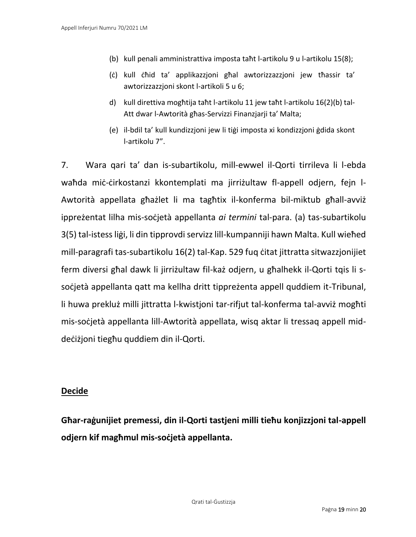- (b) kull penali amministrattiva imposta taħt l-artikolu 9 u l-artikolu 15(8);
- (ċ) kull ċħid ta' applikazzjoni għal awtorizzazzjoni jew tħassir ta' awtorizzazzjoni skont l-artikoli 5 u 6;
- d) kull direttiva mogħtija taħt l-artikolu 11 jew taħt l-artikolu 16(2)(b) tal-Att dwar l-Awtorità għas-Servizzi Finanzjarji ta' Malta;
- (e) il-bdil ta' kull kundizzjoni jew li tiġi imposta xi kondizzjoni ġdida skont l-artikolu 7".

7. Wara qari ta' dan is-subartikolu, mill-ewwel il-Qorti tirrileva li l-ebda waħda miċ-ċirkostanzi kkontemplati ma jirriżultaw fl-appell odjern, fejn l-Awtorità appellata għażlet li ma tagħtix il-konferma bil-miktub għall-avviż ippreżentat lilha mis-soċjetà appellanta *ai termini* tal-para. (a) tas-subartikolu 3(5) tal-istess liġi, li din tipprovdi servizz lill-kumpanniji hawn Malta. Kull wieħed mill-paragrafi tas-subartikolu 16(2) tal-Kap. 529 fuq ċitat jittratta sitwazzjonijiet ferm diversi għal dawk li jirriżultaw fil-każ odjern, u għalhekk il-Qorti tqis li ssoċjetà appellanta qatt ma kellha dritt tippreżenta appell quddiem it-Tribunal, li huwa prekluż milli jittratta l-kwistjoni tar-rifjut tal-konferma tal-avviż mogħti mis-soċjetà appellanta lill-Awtorità appellata, wisq aktar li tressaq appell middeċiżjoni tiegħu quddiem din il-Qorti.

### **Decide**

**Għar-raġunijiet premessi, din il-Qorti tastjeni milli tieħu konjizzjoni tal-appell odjern kif magħmul mis-soċjetà appellanta.**